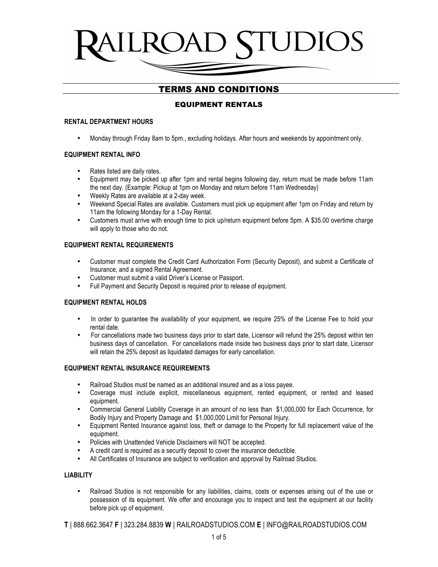# EQUIPMENT RENTALS

#### **RENTAL DEPARTMENT HOURS**

• Monday through Friday 8am to 5pm., excluding holidays. After hours and weekends by appointment only.

### **EQUIPMENT RENTAL INFO**

- Rates listed are daily rates.
- Equipment may be picked up after 1pm and rental begins following day, return must be made before 11am the next day. (Example: Pickup at 1pm on Monday and return before 11am Wednesday)
- Weekly Rates are available at a 2-day week.
- Weekend Special Rates are available. Customers must pick up equipment after 1pm on Friday and return by 11am the following Monday for a 1-Day Rental.
- Customers must arrive with enough time to pick up/return equipment before 5pm. A \$35.00 overtime charge will apply to those who do not.

### **EQUIPMENT RENTAL REQUIREMENTS**

- Customer must complete the Credit Card Authorization Form (Security Deposit), and submit a Certificate of Insurance, and a signed Rental Agreement.
- Customer must submit a valid Driver's License or Passport.
- Full Payment and Security Deposit is required prior to release of equipment.

### **EQUIPMENT RENTAL HOLDS**

- In order to guarantee the availability of your equipment, we require 25% of the License Fee to hold your rental date.
- For cancellations made two business days prior to start date, Licensor will refund the 25% deposit within ten business days of cancellation. For cancellations made inside two business days prior to start date, Licensor will retain the 25% deposit as liquidated damages for early cancellation.

#### **EQUIPMENT RENTAL INSURANCE REQUIREMENTS**

- Railroad Studios must be named as an additional insured and as a loss payee.
- Coverage must include explicit, miscellaneous equipment, rented equipment, or rented and leased equipment.
- Commercial General Liability Coverage in an amount of no less than \$1,000,000 for Each Occurrence, for Bodily Injury and Property Damage and \$1,000,000 Limit for Personal Injury.
- Equipment Rented Insurance against loss, theft or damage to the Property for full replacement value of the equipment.
- Policies with Unattended Vehicle Disclaimers will NOT be accepted.
- A credit card is required as a security deposit to cover the insurance deductible.
- All Certificates of Insurance are subject to verification and approval by Railroad Studios.

#### **LIABILITY**

• Railroad Studios is not responsible for any liabilities, claims, costs or expenses arising out of the use or possession of its equipment. We offer and encourage you to inspect and test the equipment at our facility before pick up of equipment.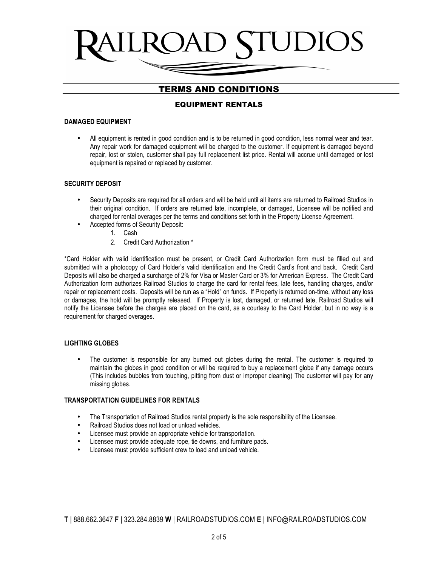## EQUIPMENT RENTALS

#### **DAMAGED EQUIPMENT**

• All equipment is rented in good condition and is to be returned in good condition, less normal wear and tear. Any repair work for damaged equipment will be charged to the customer. If equipment is damaged beyond repair, lost or stolen, customer shall pay full replacement list price. Rental will accrue until damaged or lost equipment is repaired or replaced by customer.

### **SECURITY DEPOSIT**

- Security Deposits are required for all orders and will be held until all items are returned to Railroad Studios in their original condition. If orders are returned late, incomplete, or damaged, Licensee will be notified and charged for rental overages per the terms and conditions set forth in the Property License Agreement.
- Accepted forms of Security Deposit:
	- 1. Cash
	- 2. Credit Card Authorization \*

\*Card Holder with valid identification must be present, or Credit Card Authorization form must be filled out and submitted with a photocopy of Card Holder's valid identification and the Credit Card's front and back. Credit Card Deposits will also be charged a surcharge of 2% for Visa or Master Card or 3% for American Express. The Credit Card Authorization form authorizes Railroad Studios to charge the card for rental fees, late fees, handling charges, and/or repair or replacement costs. Deposits will be run as a "Hold" on funds. If Property is returned on-time, without any loss or damages, the hold will be promptly released. If Property is lost, damaged, or returned late, Railroad Studios will notify the Licensee before the charges are placed on the card, as a courtesy to the Card Holder, but in no way is a requirement for charged overages.

#### **LIGHTING GLOBES**

• The customer is responsible for any burned out globes during the rental. The customer is required to maintain the globes in good condition or will be required to buy a replacement globe if any damage occurs (This includes bubbles from touching, pitting from dust or improper cleaning) The customer will pay for any missing globes.

#### **TRANSPORTATION GUIDELINES FOR RENTALS**

- The Transportation of Railroad Studios rental property is the sole responsibility of the Licensee.
- Railroad Studios does not load or unload vehicles.
- Licensee must provide an appropriate vehicle for transportation.
- Licensee must provide adequate rope, tie downs, and furniture pads.
- Licensee must provide sufficient crew to load and unload vehicle.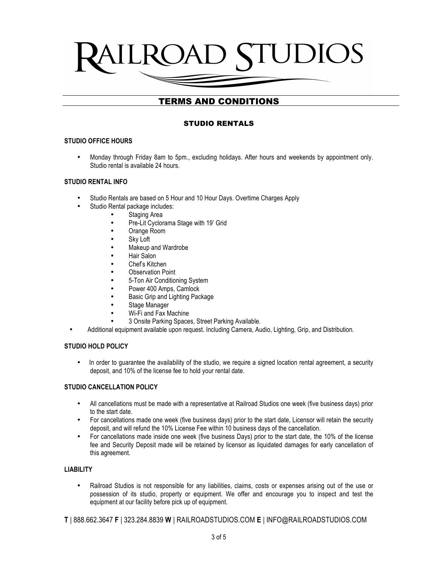# UL JAD S

# TERMS AND CONDITIONS

# STUDIO RENTALS

### **STUDIO OFFICE HOURS**

• Monday through Friday 8am to 5pm., excluding holidays. After hours and weekends by appointment only. Studio rental is available 24 hours.

### **STUDIO RENTAL INFO**

- Studio Rentals are based on 5 Hour and 10 Hour Days. Overtime Charges Apply
	- Studio Rental package includes:
		- Staging Area
		- Pre-Lit Cyclorama Stage with 19' Grid
		- Orange Room
		- **Sky Loft**
		- Makeup and Wardrobe
		- Hair Salon
		- Chef's Kitchen
		- **Observation Point**
		- 5-Ton Air Conditioning System
		- Power 400 Amps, Camlock
		- Basic Grip and Lighting Package
		- Stage Manager
		- Wi-Fi and Fax Machine
		- 3 Onsite Parking Spaces, Street Parking Available.
- Additional equipment available upon request. Including Camera, Audio, Lighting, Grip, and Distribution.

#### **STUDIO HOLD POLICY**

• In order to guarantee the availability of the studio, we require a signed location rental agreement, a security deposit, and 10% of the license fee to hold your rental date.

### **STUDIO CANCELLATION POLICY**

- All cancellations must be made with a representative at Railroad Studios one week (five business days) prior to the start date.
- For cancellations made one week (five business days) prior to the start date, Licensor will retain the security deposit, and will refund the 10% License Fee within 10 business days of the cancellation.
- For cancellations made inside one week (five business Days) prior to the start date, the 10% of the license fee and Security Deposit made will be retained by licensor as liquidated damages for early cancellation of this agreement.

#### **LIABILITY**

• Railroad Studios is not responsible for any liabilities, claims, costs or expenses arising out of the use or possession of its studio, property or equipment. We offer and encourage you to inspect and test the equipment at our facility before pick up of equipment.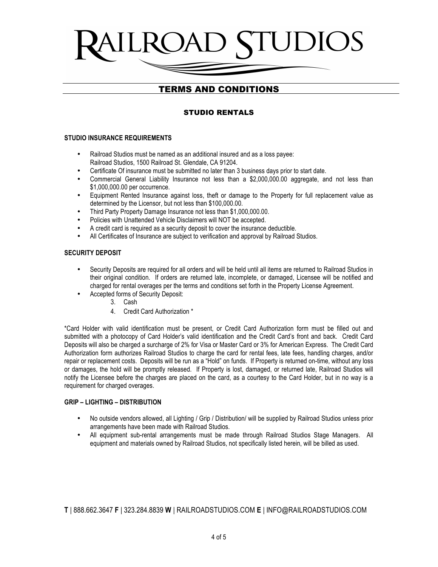# STUDIO RENTALS

#### **STUDIO INSURANCE REQUIREMENTS**

- Railroad Studios must be named as an additional insured and as a loss payee: Railroad Studios, 1500 Railroad St. Glendale, CA 91204.
- Certificate Of insurance must be submitted no later than 3 business days prior to start date.
- Commercial General Liability Insurance not less than a \$2,000,000.00 aggregate, and not less than \$1,000,000.00 per occurrence.
- Equipment Rented Insurance against loss, theft or damage to the Property for full replacement value as determined by the Licensor, but not less than \$100,000.00.
- Third Party Property Damage Insurance not less than \$1,000,000.00.
- Policies with Unattended Vehicle Disclaimers will NOT be accepted.
- A credit card is required as a security deposit to cover the insurance deductible.
- All Certificates of Insurance are subject to verification and approval by Railroad Studios.

#### **SECURITY DEPOSIT**

- Security Deposits are required for all orders and will be held until all items are returned to Railroad Studios in their original condition. If orders are returned late, incomplete, or damaged, Licensee will be notified and charged for rental overages per the terms and conditions set forth in the Property License Agreement.
	- Accepted forms of Security Deposit:
		- 3. Cash
		- 4. Credit Card Authorization \*

\*Card Holder with valid identification must be present, or Credit Card Authorization form must be filled out and submitted with a photocopy of Card Holder's valid identification and the Credit Card's front and back. Credit Card Deposits will also be charged a surcharge of 2% for Visa or Master Card or 3% for American Express. The Credit Card Authorization form authorizes Railroad Studios to charge the card for rental fees, late fees, handling charges, and/or repair or replacement costs. Deposits will be run as a "Hold" on funds. If Property is returned on-time, without any loss or damages, the hold will be promptly released. If Property is lost, damaged, or returned late, Railroad Studios will notify the Licensee before the charges are placed on the card, as a courtesy to the Card Holder, but in no way is a requirement for charged overages.

#### **GRIP – LIGHTING – DISTRIBUTION**

- No outside vendors allowed, all Lighting / Grip / Distribution/ will be supplied by Railroad Studios unless prior arrangements have been made with Railroad Studios.
- All equipment sub-rental arrangements must be made through Railroad Studios Stage Managers. All equipment and materials owned by Railroad Studios, not specifically listed herein, will be billed as used.